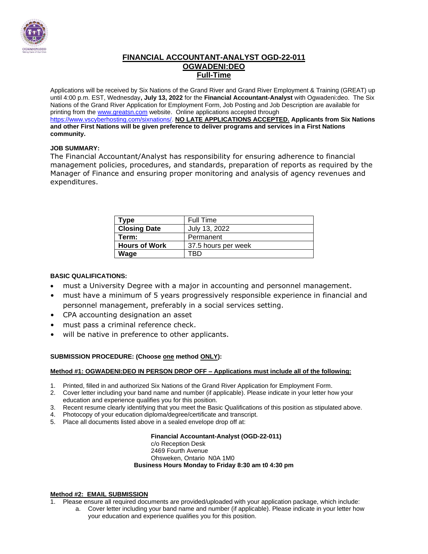

#### **FINANCIAL ACCOUNTANT-ANALYST OGD-22-011 OGWADENI:DEO Full-Time**

Applications will be received by Six Nations of the Grand River and Grand River Employment & Training (GREAT) up until 4:00 p.m. EST, Wednesday**, July 13, 2022** for the **Financial Accountant-Analyst** with Ogwadeni:deo. The Six Nations of the Grand River Application for Employment Form, Job Posting and Job Description are available for printing from th[e www.greatsn.com](http://www.greatsn.com/) website. Online applications accepted through [https://www.vscyberhosting.com/sixnations/.](https://www.vscyberhosting.com/sixnations/) **NO LATE APPLICATIONS ACCEPTED. Applicants from Six Nations and other First Nations will be given preference to deliver programs and services in a First Nations community.**

#### **JOB SUMMARY:**

The Financial Accountant/Analyst has responsibility for ensuring adherence to financial management policies, procedures, and standards, preparation of reports as required by the Manager of Finance and ensuring proper monitoring and analysis of agency revenues and expenditures.

| Type                 | Full Time           |
|----------------------|---------------------|
| <b>Closing Date</b>  | July 13, 2022       |
| Term:                | Permanent           |
| <b>Hours of Work</b> | 37.5 hours per week |
| Wage                 | вĽ                  |

#### **BASIC QUALIFICATIONS:**

- must a University Degree with a major in accounting and personnel management.
- must have a minimum of 5 years progressively responsible experience in financial and personnel management, preferably in a social services setting.
- CPA accounting designation an asset
- must pass a criminal reference check.
- will be native in preference to other applicants.

#### **SUBMISSION PROCEDURE: (Choose one method ONLY):**

#### **Method #1: OGWADENI:DEO IN PERSON DROP OFF – Applications must include all of the following:**

- 1. Printed, filled in and authorized Six Nations of the Grand River Application for Employment Form.
- 2. Cover letter including your band name and number (if applicable). Please indicate in your letter how your education and experience qualifies you for this position.
- 3. Recent resume clearly identifying that you meet the Basic Qualifications of this position as stipulated above.
- 4. Photocopy of your education diploma/degree/certificate and transcript.
- 5. Place all documents listed above in a sealed envelope drop off at:

#### **Financial Accountant-Analyst (OGD-22-011)** c/o Reception Desk 2469 Fourth Avenue Ohsweken, Ontario N0A 1M0 **Business Hours Monday to Friday 8:30 am t0 4:30 pm**

#### **Method #2: EMAIL SUBMISSION**

- 1. Please ensure all required documents are provided/uploaded with your application package, which include: a. Cover letter including your band name and number (if applicable). Please indicate in your letter how
	- your education and experience qualifies you for this position.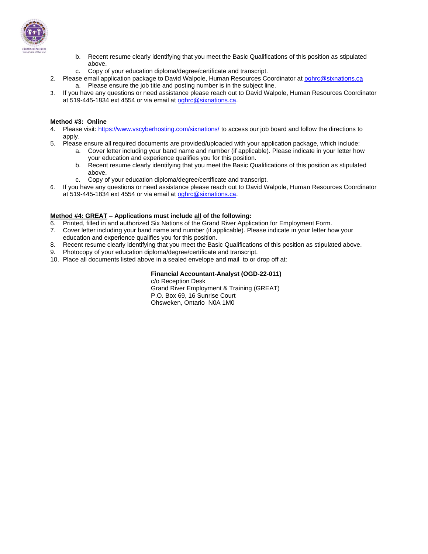

- b. Recent resume clearly identifying that you meet the Basic Qualifications of this position as stipulated above.
- c. Copy of your education diploma/degree/certificate and transcript.
- 2. Please email application package to David Walpole, Human Resources Coordinator at [oghrc@sixnations.ca](mailto:oghrc@sixnations.ca) a. Please ensure the job title and posting number is in the subject line.
- 3. If you have any questions or need assistance please reach out to David Walpole, Human Resources Coordinator at 519-445-1834 ext 4554 or via email at [oghrc@sixnations.ca.](mailto:oghrc@sixnations.ca)

#### **Method #3: Online**

- 4. Please visit[: https://www.vscyberhosting.com/sixnations/](https://www.vscyberhosting.com/sixnations/) to access our job board and follow the directions to apply.
- 5. Please ensure all required documents are provided/uploaded with your application package, which include:
	- a. Cover letter including your band name and number (if applicable). Please indicate in your letter how your education and experience qualifies you for this position.
	- b. Recent resume clearly identifying that you meet the Basic Qualifications of this position as stipulated above.
	- c. Copy of your education diploma/degree/certificate and transcript.
- 6. If you have any questions or need assistance please reach out to David Walpole, Human Resources Coordinator at 519-445-1834 ext 4554 or via email at [oghrc@sixnations.ca.](mailto:oghrc@sixnations.ca)

#### **Method #4: GREAT – Applications must include all of the following:**

- 6. Printed, filled in and authorized Six Nations of the Grand River Application for Employment Form.
- 7. Cover letter including your band name and number (if applicable). Please indicate in your letter how your education and experience qualifies you for this position.
- 8. Recent resume clearly identifying that you meet the Basic Qualifications of this position as stipulated above.
- 9. Photocopy of your education diploma/degree/certificate and transcript.
- 10. Place all documents listed above in a sealed envelope and mail to or drop off at:

#### **Financial Accountant-Analyst (OGD-22-011)**

c/o Reception Desk Grand River Employment & Training (GREAT) P.O. Box 69, 16 Sunrise Court Ohsweken, Ontario N0A 1M0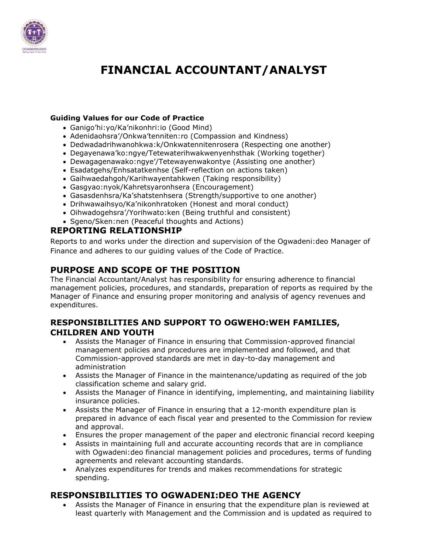

# **FINANCIAL ACCOUNTANT/ANALYST**

#### **Guiding Values for our Code of Practice**

- Ganigo'hi:yo/Ka'nikonhri:io (Good Mind)
- Adenidaohsra'/Onkwa'tenniten:ro (Compassion and Kindness)
- Dedwadadrihwanohkwa:k/Onkwatennitenrosera (Respecting one another)
- Degayenawa'ko:ngye/Tetewaterihwakwenyenhsthak (Working together)
- Dewagagenawako:ngye'/Tetewayenwakontye (Assisting one another)
- Esadatgehs/Enhsatatkenhse (Self-reflection on actions taken)
- Gaihwaedahgoh/Karihwayentahkwen (Taking responsibility)
- Gasgyao:nyok/Kahretsyaronhsera (Encouragement)
- Gasasdenhsra/Ka'shatstenhsera (Strength/supportive to one another)
- Drihwawaihsyo/Ka'nikonhratoken (Honest and moral conduct)
- Oihwadogehsra'/Yorihwato:ken (Being truthful and consistent)
- Sgeno/Sken:nen (Peaceful thoughts and Actions)

## **REPORTING RELATIONSHIP**

Reports to and works under the direction and supervision of the Ogwadeni:deo Manager of Finance and adheres to our guiding values of the Code of Practice.

## **PURPOSE AND SCOPE OF THE POSITION**

The Financial Accountant/Analyst has responsibility for ensuring adherence to financial management policies, procedures, and standards, preparation of reports as required by the Manager of Finance and ensuring proper monitoring and analysis of agency revenues and expenditures.

#### **RESPONSIBILITIES AND SUPPORT TO OGWEHO:WEH FAMILIES, CHILDREN AND YOUTH**

- Assists the Manager of Finance in ensuring that Commission-approved financial management policies and procedures are implemented and followed, and that Commission-approved standards are met in day-to-day management and administration
- Assists the Manager of Finance in the maintenance/updating as required of the job classification scheme and salary grid.
- Assists the Manager of Finance in identifying, implementing, and maintaining liability insurance policies.
- Assists the Manager of Finance in ensuring that a 12-month expenditure plan is prepared in advance of each fiscal year and presented to the Commission for review and approval.
- Ensures the proper management of the paper and electronic financial record keeping
- Assists in maintaining full and accurate accounting records that are in compliance with Ogwadeni:deo financial management policies and procedures, terms of funding agreements and relevant accounting standards.
- Analyzes expenditures for trends and makes recommendations for strategic spending.

## **RESPONSIBILITIES TO OGWADENI:DEO THE AGENCY**

• Assists the Manager of Finance in ensuring that the expenditure plan is reviewed at least quarterly with Management and the Commission and is updated as required to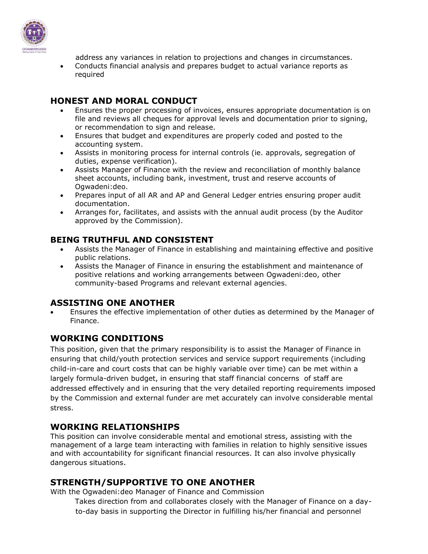

address any variances in relation to projections and changes in circumstances. • Conducts financial analysis and prepares budget to actual variance reports as required

## **HONEST AND MORAL CONDUCT**

- Ensures the proper processing of invoices, ensures appropriate documentation is on file and reviews all cheques for approval levels and documentation prior to signing, or recommendation to sign and release.
- Ensures that budget and expenditures are properly coded and posted to the accounting system.
- Assists in monitoring process for internal controls (ie. approvals, segregation of duties, expense verification).
- Assists Manager of Finance with the review and reconciliation of monthly balance sheet accounts, including bank, investment, trust and reserve accounts of Ogwadeni:deo.
- Prepares input of all AR and AP and General Ledger entries ensuring proper audit documentation.
- Arranges for, facilitates, and assists with the annual audit process (by the Auditor approved by the Commission).

## **BEING TRUTHFUL AND CONSISTENT**

- Assists the Manager of Finance in establishing and maintaining effective and positive public relations.
- Assists the Manager of Finance in ensuring the establishment and maintenance of positive relations and working arrangements between Ogwadeni:deo, other community-based Programs and relevant external agencies.

## **ASSISTING ONE ANOTHER**

• Ensures the effective implementation of other duties as determined by the Manager of Finance.

## **WORKING CONDITIONS**

This position, given that the primary responsibility is to assist the Manager of Finance in ensuring that child/youth protection services and service support requirements (including child-in-care and court costs that can be highly variable over time) can be met within a largely formula-driven budget, in ensuring that staff financial concerns of staff are addressed effectively and in ensuring that the very detailed reporting requirements imposed by the Commission and external funder are met accurately can involve considerable mental stress.

## **WORKING RELATIONSHIPS**

This position can involve considerable mental and emotional stress, assisting with the management of a large team interacting with families in relation to highly sensitive issues and with accountability for significant financial resources. It can also involve physically dangerous situations.

## **STRENGTH/SUPPORTIVE TO ONE ANOTHER**

With the Ogwadeni:deo Manager of Finance and Commission

Takes direction from and collaborates closely with the Manager of Finance on a dayto-day basis in supporting the Director in fulfilling his/her financial and personnel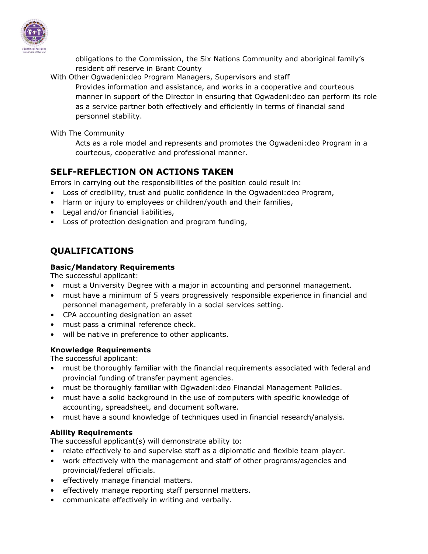

obligations to the Commission, the Six Nations Community and aboriginal family's resident off reserve in Brant County

With Other Ogwadeni:deo Program Managers, Supervisors and staff

Provides information and assistance, and works in a cooperative and courteous manner in support of the Director in ensuring that Ogwadeni:deo can perform its role as a service partner both effectively and efficiently in terms of financial sand personnel stability.

With The Community

Acts as a role model and represents and promotes the Ogwadeni:deo Program in a courteous, cooperative and professional manner.

# **SELF-REFLECTION ON ACTIONS TAKEN**

Errors in carrying out the responsibilities of the position could result in:

- Loss of credibility, trust and public confidence in the Ogwadeni:deo Program,
- Harm or injury to employees or children/youth and their families,
- Legal and/or financial liabilities,
- Loss of protection designation and program funding,

# **QUALIFICATIONS**

#### **Basic/Mandatory Requirements**

The successful applicant:

- must a University Degree with a major in accounting and personnel management.
- must have a minimum of 5 years progressively responsible experience in financial and personnel management, preferably in a social services setting.
- CPA accounting designation an asset
- must pass a criminal reference check.
- will be native in preference to other applicants.

## **Knowledge Requirements**

The successful applicant:

- must be thoroughly familiar with the financial requirements associated with federal and provincial funding of transfer payment agencies.
- must be thoroughly familiar with Ogwadeni:deo Financial Management Policies.
- must have a solid background in the use of computers with specific knowledge of accounting, spreadsheet, and document software.
- must have a sound knowledge of techniques used in financial research/analysis.

## **Ability Requirements**

The successful applicant(s) will demonstrate ability to:

- relate effectively to and supervise staff as a diplomatic and flexible team player.
- work effectively with the management and staff of other programs/agencies and provincial/federal officials.
- effectively manage financial matters.
- effectively manage reporting staff personnel matters.
- communicate effectively in writing and verbally.